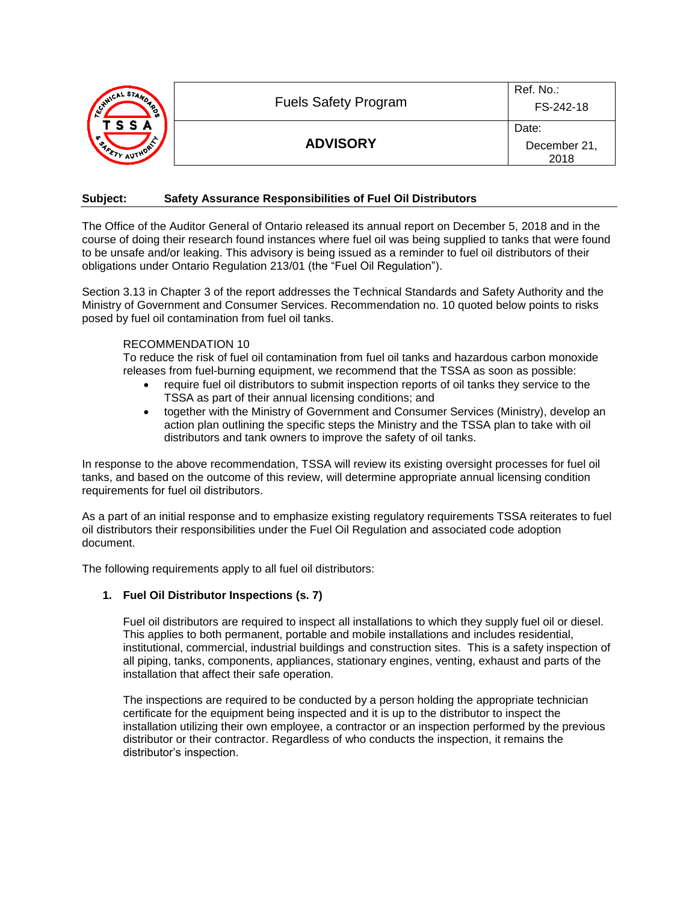| MWICAL STANDA<br>ૻ૾ૢ૾ૺ<br>ုပ္ပ<br>T S S A<br>$\mathcal{F}_{\mathcal{A}_{\rho_{\alpha}}}$<br>TY AUTHORY | <b>Fuels Safety Program</b> | Ref. No.:<br>FS-242-18        |
|--------------------------------------------------------------------------------------------------------|-----------------------------|-------------------------------|
|                                                                                                        | <b>ADVISORY</b>             | Date:<br>December 21,<br>2018 |

#### **Subject: Safety Assurance Responsibilities of Fuel Oil Distributors**

The Office of the Auditor General of Ontario released its annual report on December 5, 2018 and in the course of doing their research found instances where fuel oil was being supplied to tanks that were found to be unsafe and/or leaking. This advisory is being issued as a reminder to fuel oil distributors of their obligations under Ontario Regulation 213/01 (the "Fuel Oil Regulation").

Section 3.13 in Chapter 3 of the report addresses the Technical Standards and Safety Authority and the Ministry of Government and Consumer Services. Recommendation no. 10 quoted below points to risks posed by fuel oil contamination from fuel oil tanks.

## RECOMMENDATION 10

To reduce the risk of fuel oil contamination from fuel oil tanks and hazardous carbon monoxide releases from fuel-burning equipment, we recommend that the TSSA as soon as possible:

- require fuel oil distributors to submit inspection reports of oil tanks they service to the TSSA as part of their annual licensing conditions; and
- together with the Ministry of Government and Consumer Services (Ministry), develop an action plan outlining the specific steps the Ministry and the TSSA plan to take with oil distributors and tank owners to improve the safety of oil tanks.

In response to the above recommendation, TSSA will review its existing oversight processes for fuel oil tanks, and based on the outcome of this review, will determine appropriate annual licensing condition requirements for fuel oil distributors.

As a part of an initial response and to emphasize existing regulatory requirements TSSA reiterates to fuel oil distributors their responsibilities under the Fuel Oil Regulation and associated code adoption document.

The following requirements apply to all fuel oil distributors:

# **1. Fuel Oil Distributor Inspections (s. 7)**

Fuel oil distributors are required to inspect all installations to which they supply fuel oil or diesel. This applies to both permanent, portable and mobile installations and includes residential, institutional, commercial, industrial buildings and construction sites. This is a safety inspection of all piping, tanks, components, appliances, stationary engines, venting, exhaust and parts of the installation that affect their safe operation.

The inspections are required to be conducted by a person holding the appropriate technician certificate for the equipment being inspected and it is up to the distributor to inspect the installation utilizing their own employee, a contractor or an inspection performed by the previous distributor or their contractor. Regardless of who conducts the inspection, it remains the distributor's inspection.